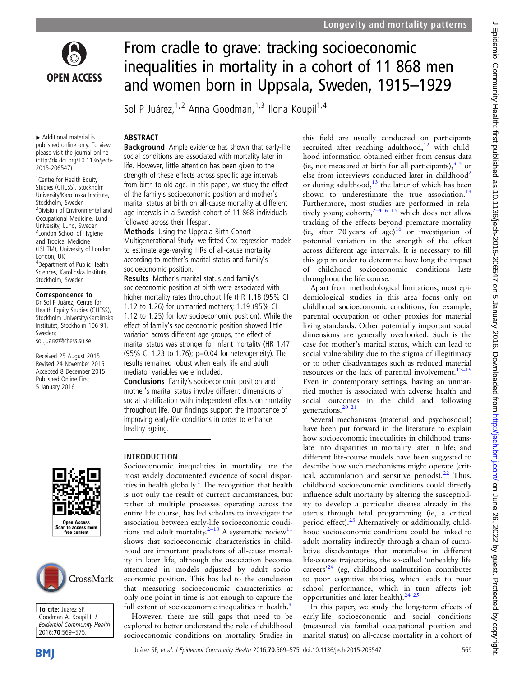

▸ Additional material is published online only. To view please visit the journal online [\(http://dx.doi.org/10.1136/jech-](http://dx.doi.org/10.1136/jech-2015-206547)[2015-206547\)](http://dx.doi.org/10.1136/jech-2015-206547).

<sup>1</sup> Centre for Health Equity Studies (CHESS), Stockholm University/Karolinska Institute, Stockholm, Sweden 2 Division of Environmental and Occupational Medicine, Lund University, Lund, Sweden <sup>3</sup>London School of Hygiene and Tropical Medicine (LSHTM), University of London, London, UK 4 Department of Public Health Sciences, Karolinska Institute, Stockholm, Sweden

#### Correspondence to

Dr Sol P Juárez, Centre for Health Equity Studies (CHESS), Stockholm University/Karolinska Institutet, Stockholm 106 91, Sweden; sol.juarez@chess.su.se

Received 25 August 2015 Revised 24 November 2015 Accepted 8 December 2015 Published Online First 5 January 2016





To cite: Juárez SP, Goodman A, Koupil I. J Epidemiol Community Health 2016;**70**:569-575.



# From cradle to grave: tracking socioeconomic inequalities in mortality in a cohort of 11 868 men and women born in Uppsala, Sweden, 1915–1929

Sol P Juárez, <sup>1,2</sup> Anna Goodman, <sup>1,3</sup> Ilona Koupil<sup>1,4</sup>

# ABSTRACT

**Background** Ample evidence has shown that early-life social conditions are associated with mortality later in life. However, little attention has been given to the strength of these effects across specific age intervals from birth to old age. In this paper, we study the effect of the family's socioeconomic position and mother's marital status at birth on all-cause mortality at different age intervals in a Swedish cohort of 11 868 individuals followed across their lifespan.

Methods Using the Uppsala Birth Cohort Multigenerational Study, we fitted Cox regression models to estimate age-varying HRs of all-cause mortality according to mother's marital status and family's socioeconomic position.

Results Mother's marital status and family's socioeconomic position at birth were associated with higher mortality rates throughout life (HR 1.18 (95% CI 1.12 to 1.26) for unmarried mothers; 1.19 (95% CI 1.12 to 1.25) for low socioeconomic position). While the effect of family's socioeconomic position showed little variation across different age groups, the effect of marital status was stronger for infant mortality (HR 1.47 (95% CI 1.23 to 1.76); p=0.04 for heterogeneity). The results remained robust when early life and adult mediator variables were included.

Conclusions Family's socioeconomic position and mother's marital status involve different dimensions of social stratification with independent effects on mortality throughout life. Our findings support the importance of improving early-life conditions in order to enhance healthy ageing.

# INTRODUCTION

Socioeconomic inequalities in mortality are the most widely documented evidence of social dispar-ities in health globally.<sup>[1](#page-5-0)</sup> The recognition that health is not only the result of current circumstances, but rather of multiple processes operating across the entire life course, has led scholars to investigate the association between early-life socioeconomic condi-tions and adult mortality.<sup>2–[10](#page-5-0)</sup> A systematic review<sup>[11](#page-5-0)</sup> shows that socioeconomic characteristics in childhood are important predictors of all-cause mortality in later life, although the association becomes attenuated in models adjusted by adult socioeconomic position. This has led to the conclusion that measuring socioeconomic characteristics at only one point in time is not enough to capture the full extent of socioeconomic inequalities in health.<sup>[4](#page-5-0)</sup>

However, there are still gaps that need to be explored to better understand the role of childhood socioeconomic conditions on mortality. Studies in this field are usually conducted on participants recruited after reaching adulthood, $12$  with childhood information obtained either from census data (ie, not measured at birth for all participants),  $35$  or else from interviews conducted later in childhood<sup>[2](#page-5-0)</sup> or during adulthood, $13$  the latter of which has been shown to underestimate the true association.<sup>[14](#page-5-0)</sup> Furthermore, most studies are performed in relatively young cohorts,  $2^{-4}$  <sup>6</sup> <sup>15</sup> which does not allow tracking of the effects beyond premature mortality (ie, after 70 years of age)<sup>[16](#page-5-0)</sup> or investigation of potential variation in the strength of the effect across different age intervals. It is necessary to fill this gap in order to determine how long the impact of childhood socioeconomic conditions lasts throughout the life course.

Apart from methodological limitations, most epidemiological studies in this area focus only on childhood socioeconomic conditions, for example, parental occupation or other proxies for material living standards. Other potentially important social dimensions are generally overlooked. Such is the case for mother's marital status, which can lead to social vulnerability due to the stigma of illegitimacy or to other disadvantages such as reduced material resources or the lack of parental involvement. $17-19$  $17-19$ Even in contemporary settings, having an unmarried mother is associated with adverse health and social outcomes in the child and following generations.<sup>20</sup><sup>21</sup>

Several mechanisms (material and psychosocial) have been put forward in the literature to explain how socioeconomic inequalities in childhood translate into disparities in mortality later in life; and different life-course models have been suggested to describe how such mechanisms might operate (critical, accumulation and sensitive periods). $^{22}$  $^{22}$  $^{22}$  Thus, childhood socioeconomic conditions could directly influence adult mortality by altering the susceptibility to develop a particular disease already in the uterus through fetal programming (ie, a critical period effect).<sup>[23](#page-5-0)</sup> Alternatively or additionally, childhood socioeconomic conditions could be linked to adult mortality indirectly through a chain of cumulative disadvantages that materialise in different life-course trajectories, the so-called 'unhealthy life careers<sup>[24](#page-5-0)</sup> (eg, childhood malnutrition contributes to poor cognitive abilities, which leads to poor school performance, which in turn affects job opportunities and later health).<sup>24</sup> <sup>25</sup>

In this paper, we study the long-term effects of early-life socioeconomic and social conditions (measured via familial occupational position and marital status) on all-cause mortality in a cohort of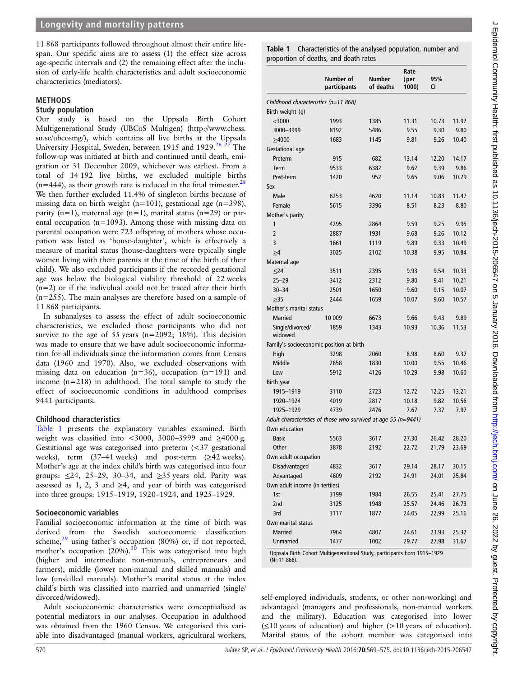# <span id="page-1-0"></span>Longevity and mortality patterns

11 868 participants followed throughout almost their entire lifespan. Our specific aims are to assess (1) the effect size across age-specific intervals and (2) the remaining effect after the inclusion of early-life health characteristics and adult socioeconomic characteristics (mediators).

### METHODS

#### Study population

Our study is based on the Uppsala Birth Cohort Multigenerational Study (UBCoS Multigen) (http://www.chess. su.se/ubcosmg/), which contains all live births at the Uppsala University Hospital, Sweden, between 1915 and 1929.<sup>[26 27](#page-5-0)</sup> The follow-up was initiated at birth and continued until death, emigration or 31 December 2009, whichever was earliest. From a total of 14 192 live births, we excluded multiple births  $(n=444)$ , as their growth rate is reduced in the final trimester.<sup>28</sup> We then further excluded 11.4% of singleton births because of missing data on birth weight (n=101), gestational age (n=398), parity (n=1), maternal age (n=1), marital status (n=29) or parental occupation (n=1093). Among those with missing data on parental occupation were 723 offspring of mothers whose occupation was listed as 'house-daughter', which is effectively a measure of marital status (house-daughters were typically single women living with their parents at the time of the birth of their child). We also excluded participants if the recorded gestational age was below the biological viability threshold of 22 weeks (n=2) or if the individual could not be traced after their birth (n=255). The main analyses are therefore based on a sample of 11 868 participants.

In subanalyses to assess the effect of adult socioeconomic characteristics, we excluded those participants who did not survive to the age of 55 years (n=2092; 18%). This decision was made to ensure that we have adult socioeconomic information for all individuals since the information comes from Census data (1960 and 1970). Also, we excluded observations with missing data on education ( $n=36$ ), occupation ( $n=191$ ) and income (n=218) in adulthood. The total sample to study the effect of socioeconomic conditions in adulthood comprises 9441 participants.

#### Childhood characteristics

Table 1 presents the explanatory variables examined. Birth weight was classified into <3000, 3000–3999 and ≥4000 g. Gestational age was categorised into preterm (<37 gestational weeks), term (37–41 weeks) and post-term (≥42 weeks). Mother's age at the index child's birth was categorised into four groups:  $\leq 24$ , 25–29, 30–34, and  $\geq 35$  years old. Parity was assessed as 1, 2, 3 and  $\geq 4$ , and year of birth was categorised into three groups: 1915–1919, 1920–1924, and 1925–1929.

#### Socioeconomic variables

Familial socioeconomic information at the time of birth was derived from the Swedish socioeconomic classification scheme, $29$  using father's occupation (80%) or, if not reported, mother's occupation  $(20\%)$ .<sup>[30](#page-5-0)</sup> This was categorised into high (higher and intermediate non-manuals, entrepreneurs and farmers), middle (lower non-manual and skilled manuals) and low (unskilled manuals). Mother's marital status at the index child's birth was classified into married and unmarried (single/ divorced/widowed).

Adult socioeconomic characteristics were conceptualised as potential mediators in our analyses. Occupation in adulthood was obtained from the 1960 Census. We categorised this variable into disadvantaged (manual workers, agricultural workers,

Table 1 Characteristics of the analysed population, number and proportion of deaths, and death rates

|                                                                | Number of<br>participants | <b>Number</b><br>of deaths | Rate<br>(per<br>1000) | 95%<br><b>CI</b> |       |
|----------------------------------------------------------------|---------------------------|----------------------------|-----------------------|------------------|-------|
| Childhood characteristics (n=11 868)                           |                           |                            |                       |                  |       |
| Birth weight (g)                                               |                           |                            |                       |                  |       |
| $<$ 3000                                                       | 1993                      | 1385                       | 11.31                 | 10.73            | 11.92 |
| 3000-3999                                                      | 8192                      | 5486                       | 9.55                  | 9.30             | 9.80  |
| >4000                                                          | 1683                      | 1145                       | 9.81                  | 9.26             | 10.40 |
| Gestational age                                                |                           |                            |                       |                  |       |
| Preterm                                                        | 915                       | 682                        | 13.14                 | 12.20            | 14.17 |
| Term                                                           | 9533                      | 6382                       | 9.62                  | 9.39             | 9.86  |
| Post-term                                                      | 1420                      | 952                        | 9.65                  | 9.06             | 10.29 |
| Sex                                                            |                           |                            |                       |                  |       |
| Male                                                           | 6253                      | 4620                       | 11.14                 | 10.83            | 11.47 |
| Female                                                         | 5615                      | 3396                       | 8.51                  | 8.23             | 8.80  |
| Mother's parity                                                |                           |                            |                       |                  |       |
| 1                                                              | 4295                      | 2864                       | 9.59                  | 9.25             | 9.95  |
| $\overline{2}$                                                 | 2887                      | 1931                       | 9.68                  | 9.26             | 10.12 |
| 3                                                              |                           |                            |                       | 9.33             | 10.49 |
|                                                                | 1661<br>3025              | 1119<br>2102               | 9.89                  |                  | 10.84 |
| $\geq 4$                                                       |                           |                            | 10.38                 | 9.95             |       |
| Maternal age                                                   |                           |                            |                       |                  |       |
| $\leq$ 24                                                      | 3511                      | 2395                       | 9.93                  | 9.54             | 10.33 |
| $25 - 29$                                                      | 3412                      | 2312                       | 9.80                  | 9.41             | 10.21 |
| $30 - 34$                                                      | 2501                      | 1650                       | 9.60                  | 9.15             | 10.07 |
| >35                                                            | 2444                      | 1659                       | 10.07                 | 9.60             | 10.57 |
| Mother's marital status                                        |                           |                            |                       |                  |       |
| <b>Married</b>                                                 | 10 009                    | 6673                       | 9.66                  | 9.43             | 9.89  |
| Single/divorced/<br>widowed                                    | 1859                      | 1343                       | 10.93                 | 10.36            | 11.53 |
| Family's socioeconomic position at birth                       |                           |                            |                       |                  |       |
| High                                                           | 3298                      | 2060                       | 8.98                  | 8.60             | 9.37  |
| Middle                                                         | 2658                      | 1830                       | 10.00                 | 9.55             | 10.46 |
| Low                                                            | 5912                      | 4126                       | 10.29                 | 9.98             | 10.60 |
| Birth year                                                     |                           |                            |                       |                  |       |
| 1915-1919                                                      | 3110                      | 2723                       | 12.72                 | 12.25            | 13.21 |
| 1920-1924                                                      | 4019                      | 2817                       | 10.18                 | 9.82             | 10.56 |
| 1925-1929                                                      | 4739                      | 2476                       | 7.67                  | 7.37             | 7.97  |
| Adult characteristics of those who survived at age 55 (n=9441) |                           |                            |                       |                  |       |
| Own education                                                  |                           |                            |                       |                  |       |
| <b>Basic</b>                                                   | 5563                      | 3617                       | 27.30                 | 26.42            | 28.20 |
| Other                                                          | 3878                      | 2192                       | 22.72                 | 21.79            | 23.69 |
| Own adult occupation                                           |                           |                            |                       |                  |       |
| Disadvantaged                                                  | 4832                      | 3617                       | 29.14                 | 28.17            | 30.15 |
| Advantaged                                                     | 4609                      | 2192                       | 24.91                 | 24.01            | 25.84 |
| Own adult income (in tertiles)                                 |                           |                            |                       |                  |       |
| 1st                                                            | 3199                      | 1984                       | 26.55                 | 25.41            | 27.75 |
| 2nd                                                            | 3125                      | 1948                       | 25.57                 | 24.46            | 26.73 |
| 3rd                                                            | 3117                      | 1877                       | 24.05                 | 22.99            | 25.16 |
| Own marital status                                             |                           |                            |                       |                  |       |
| <b>Married</b>                                                 | 7964                      | 4807                       | 24.61                 | 23.93            | 25.32 |
| Unmarried                                                      | 1477                      | 1002                       | 29.77                 | 27.98            | 31.67 |

Uppsala Birth Cohort Multigenerational Study, participants born 1915–1929  $(N=11.868)$ 

self-employed individuals, students, or other non-working) and advantaged (managers and professionals, non-manual workers and the military). Education was categorised into lower (≤10 years of education) and higher (>10 years of education). Marital status of the cohort member was categorised into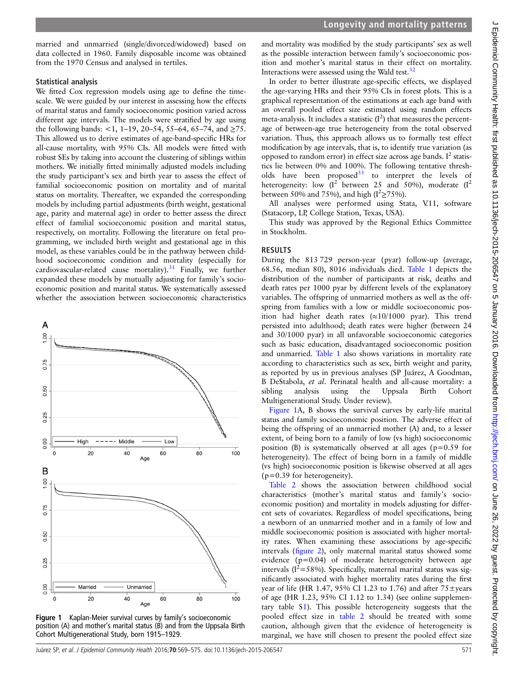married and unmarried (single/divorced/widowed) based on data collected in 1960. Family disposable income was obtained from the 1970 Census and analysed in tertiles.

# Statistical analysis

We fitted Cox regression models using age to define the timescale. We were guided by our interest in assessing how the effects of marital status and family socioeconomic position varied across different age intervals. The models were stratified by age using the following bands: <1, 1-19, 20-54, 55-64, 65-74, and  $\geq$ 75. This allowed us to derive estimates of age-band-specific HRs for all-cause mortality, with 95% CIs. All models were fitted with robust SEs by taking into account the clustering of siblings within mothers. We initially fitted minimally adjusted models including the study participant's sex and birth year to assess the effect of familial socioeconomic position on mortality and of marital status on mortality. Thereafter, we expanded the corresponding models by including partial adjustments (birth weight, gestational age, parity and maternal age) in order to better assess the direct effect of familial socioeconomic position and marital status, respectively, on mortality. Following the literature on fetal programming, we included birth weight and gestational age in this model, as these variables could be in the pathway between childhood socioeconomic condition and mortality (especially for cardiovascular-related cause mortality).<sup>[31](#page-5-0)</sup> Finally, we further expanded these models by mutually adjusting for family's socioeconomic position and marital status. We systematically assessed whether the association between socioeconomic characteristics



Figure 1 Kaplan-Meier survival curves by family's socioeconomic position (A) and mother's marital status (B) and from the Uppsala Birth Cohort Multigenerational Study, born 1915–1929.

and mortality was modified by the study participants' sex as well as the possible interaction between family's socioeconomic position and mother's marital status in their effect on mortality. Interactions were assessed using the Wald test. $32$ 

In order to better illustrate age-specific effects, we displayed the age-varying HRs and their 95% CIs in forest plots. This is a graphical representation of the estimations at each age band with an overall pooled effect size estimated using random effects meta-analysis. It includes a statistic  $(I^2)$  that measures the percentage of between-age true heterogeneity from the total observed variation. Thus, this approach allows us to formally test effect modification by age intervals, that is, to identify true variation (as opposed to random error) in effect size across age bands.  $I^2$  statistics lie between 0% and 100%. The following tentative thresholds have been proposed $33$  to interpret the levels of heterogeneity: low  $(I^2)$  between 25 and 50%), moderate  $(I^2)$ between 50% and 75%), and high ( $I^2 \ge 75\%$ ).

All analyses were performed using Stata, V.11, software (Statacorp, LP, College Station, Texas, USA).

This study was approved by the Regional Ethics Committee in Stockholm.

# RESULTS

During the 813 729 person-year (pyar) follow-up (average, 68.56, median 80), 8016 individuals died. [Table 1](#page-1-0) depicts the distribution of the number of participants at risk, deaths and death rates per 1000 pyar by different levels of the explanatory variables. The offspring of unmarried mothers as well as the offspring from families with a low or middle socioeconomic position had higher death rates  $(\approx 10/1000 \text{ pyar})$ . This trend persisted into adulthood; death rates were higher (between 24 and 30/1000 pyar) in all unfavorable socioeconomic categories such as basic education, disadvantaged socioeconomic position and unmarried. [Table 1](#page-1-0) also shows variations in mortality rate according to characteristics such as sex, birth weight and parity, as reported by us in previous analyses (SP Juárez, A Goodman, B DeStabola, et al. Perinatal health and all-cause mortality: a sibling analysis using the Uppsala Birth Cohort Multigenerational Study. Under review).

Figure 1A, B shows the survival curves by early-life marital status and family socioeconomic position. The adverse effect of being the offspring of an unmarried mother (A) and, to a lesser extent, of being born to a family of low (vs high) socioeconomic position (B) is systematically observed at all ages ( $p=0.59$  for heterogeneity). The effect of being born in a family of middle (vs high) socioeconomic position is likewise observed at all ages (p=0.39 for heterogeneity).

[Table 2](#page-3-0) shows the association between childhood social characteristics (mother's marital status and family's socioeconomic position) and mortality in models adjusting for different sets of covariates. Regardless of model specifications, being a newborn of an unmarried mother and in a family of low and middle socioeconomic position is associated with higher mortality rates. When examining these associations by age-specific intervals (fi[gure 2](#page-4-0)), only maternal marital status showed some evidence (p=0.04) of moderate heterogeneity between age intervals ( $I^2$ =58%). Specifically, maternal marital status was significantly associated with higher mortality rates during the first year of life (HR 1.47, 95% CI 1.23 to 1.76) and after  $75\pm$ years of age (HR 1.23, 95% CI 1.12 to 1.34) (see online supplementary table [S1](#page-1-0)). This possible heterogeneity suggests that the pooled effect size in [table 2](#page-3-0) should be treated with some caution, although given that the evidence of heterogeneity is marginal, we have still chosen to present the pooled effect size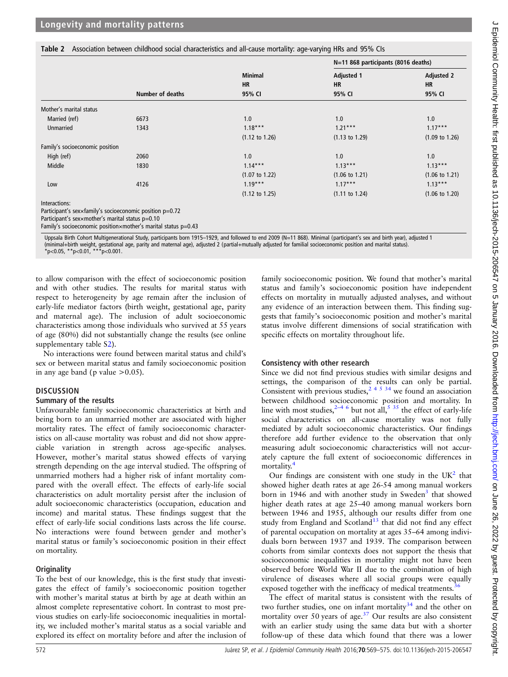#### <span id="page-3-0"></span>Table 2 Association between childhood social characteristics and all-cause mortality: age-varying HRs and 95% CIs

|                                 |                         | <b>Minimal</b><br><b>HR</b><br>95% CI | N=11 868 participants (8016 deaths) |                                |  |
|---------------------------------|-------------------------|---------------------------------------|-------------------------------------|--------------------------------|--|
|                                 |                         |                                       | <b>Adjusted 1</b><br><b>HR</b>      | <b>Adjusted 2</b><br><b>HR</b> |  |
|                                 | <b>Number of deaths</b> |                                       | 95% CI                              | 95% CI                         |  |
|                                 |                         |                                       |                                     |                                |  |
| Mother's marital status         |                         |                                       |                                     |                                |  |
| Married (ref)                   | 6673                    | 1.0                                   | 1.0                                 | 1.0                            |  |
| <b>Unmarried</b>                | 1343                    | $1.18***$                             | $1.21***$                           | $1.17***$                      |  |
|                                 |                         | $(1.12 \text{ to } 1.26)$             | $(1.13 \text{ to } 1.29)$           | $(1.09 \text{ to } 1.26)$      |  |
| Family's socioeconomic position |                         |                                       |                                     |                                |  |
| High (ref)                      | 2060                    | 1.0                                   | 1.0                                 | 1.0                            |  |
| Middle                          | 1830                    | $1.14***$                             | $1.13***$                           | $1.13***$                      |  |
|                                 |                         | $(1.07 \text{ to } 1.22)$             | $(1.06 \text{ to } 1.21)$           | $(1.06 \text{ to } 1.21)$      |  |
| Low                             | 4126                    | $1.19***$                             | $1.17***$                           | $1.13***$                      |  |
|                                 |                         | $(1.12 \text{ to } 1.25)$             | $(1.11 \text{ to } 1.24)$           | $(1.06 \text{ to } 1.20)$      |  |
| Interactions:                   |                         |                                       |                                     |                                |  |

Participant's sex×family's socioeconomic position p=0.72

Participant's sex×mother's marital status p=0.10

Family's socioeconomic position×mother's marital status p=0.43

Uppsala Birth Cohort Multigenerational Study, participants born 1915–1929, and followed to end 2009 (N=11 868). Minimal (participant's sex and birth year), adjusted 1 (minimal+birth weight, gestational age, parity and maternal age), adjusted 2 (partial+mutually adjusted for familial socioeconomic position and marital status). \*p<0.05, \*\*p<0.01, \*\*\*p<0.001.

to allow comparison with the effect of socioeconomic position and with other studies. The results for marital status with respect to heterogeneity by age remain after the inclusion of early-life mediator factors (birth weight, gestational age, parity and maternal age). The inclusion of adult socioeconomic characteristics among those individuals who survived at 55 years of age (80%) did not substantially change the results (see online supplementary table S2).

No interactions were found between marital status and child's sex or between marital status and family socioeconomic position in any age band (p value  $>0.05$ ).

#### **DISCUSSION**

#### Summary of the results

Unfavourable family socioeconomic characteristics at birth and being born to an unmarried mother are associated with higher mortality rates. The effect of family socioeconomic characteristics on all-cause mortality was robust and did not show appreciable variation in strength across age-specific analyses. However, mother's marital status showed effects of varying strength depending on the age interval studied. The offspring of unmarried mothers had a higher risk of infant mortality compared with the overall effect. The effects of early-life social characteristics on adult mortality persist after the inclusion of adult socioeconomic characteristics (occupation, education and income) and marital status. These findings suggest that the effect of early-life social conditions lasts across the life course. No interactions were found between gender and mother's marital status or family's socioeconomic position in their effect on mortality.

# **Originality**

To the best of our knowledge, this is the first study that investigates the effect of family's socioeconomic position together with mother's marital status at birth by age at death within an almost complete representative cohort. In contrast to most previous studies on early-life socioeconomic inequalities in mortality, we included mother's marital status as a social variable and explored its effect on mortality before and after the inclusion of

family socioeconomic position. We found that mother's marital status and family's socioeconomic position have independent effects on mortality in mutually adjusted analyses, and without any evidence of an interaction between them. This finding suggests that family's socioeconomic position and mother's marital status involve different dimensions of social stratification with specific effects on mortality throughout life.

# Consistency with other research

Since we did not find previous studies with similar designs and settings, the comparison of the results can only be partial. Consistent with previous studies,  $2^{4}$  5  $34$  we found an association between childhood socioeconomic position and mortality. In line with most studies,  $2-4/6$  but not all,  $5/35$  $5/35$  the effect of early-life social characteristics on all-cause mortality was not fully mediated by adult socioeconomic characteristics. Our findings therefore add further evidence to the observation that only measuring adult socioeconomic characteristics will not accurately capture the full extent of socioeconomic differences in mortality.<sup>[4](#page-5-0)</sup>

Our findings are consistent with one study in the  $UK<sup>2</sup>$  $UK<sup>2</sup>$  $UK<sup>2</sup>$  that showed higher death rates at age 26-54 among manual workers born in 1946 and with another study in Sweden<sup>[3](#page-5-0)</sup> that showed higher death rates at age 25–40 among manual workers born between 1946 and 1955, although our results differ from one study from England and Scotland<sup>[13](#page-5-0)</sup> that did not find any effect of parental occupation on mortality at ages 35–64 among individuals born between 1937 and 1939. The comparison between cohorts from similar contexts does not support the thesis that socioeconomic inequalities in mortality might not have been observed before World War II due to the combination of high virulence of diseases where all social groups were equally exposed together with the inefficacy of medical treatments.<sup>[36](#page-6-0)</sup>

The effect of marital status is consistent with the results of two further studies, one on infant mortality<sup>[34](#page-6-0)</sup> and the other on mortality over 50 years of age.<sup>[37](#page-6-0)</sup> Our results are also consistent with an earlier study using the same data but with a shorter follow-up of these data which found that there was a lower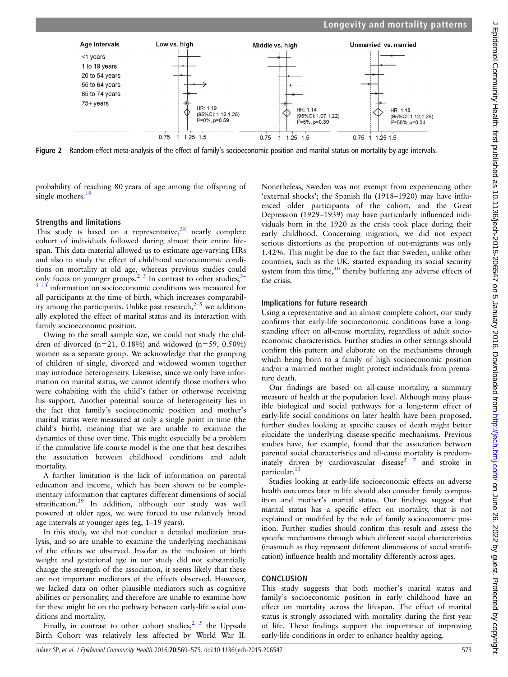<span id="page-4-0"></span>

Figure 2 Random-effect meta-analysis of the effect of family's socioeconomic position and marital status on mortality by age intervals.

probability of reaching 80 years of age among the offspring of single mothers.<sup>[19](#page-5-0)</sup>

# Strengths and limitations

This study is based on a representative,  $38$  nearly complete cohort of individuals followed during almost their entire lifespan. This data material allowed us to estimate age-varying HRs and also to study the effect of childhood socioeconomic conditions on mortality at old age, whereas previous studies could only focus on younger groups.<sup>2</sup> <sup>[3](#page-5-0)</sup> In contrast to other studies,<sup>3-</sup> information on socioeconomic conditions was measured for all participants at the time of birth, which increases comparability among the participants. Unlike past research, $2-5$  $2-5$  we additionally explored the effect of marital status and its interaction with family socioeconomic position.

Owing to the small sample size, we could not study the children of divorced  $(n=21, 0.18\%)$  and widowed  $(n=59, 0.50\%)$ women as a separate group. We acknowledge that the grouping of children of single, divorced and widowed women together may introduce heterogeneity. Likewise, since we only have information on marital status, we cannot identify those mothers who were cohabiting with the child's father or otherwise receiving his support. Another potential source of heterogeneity lies in the fact that family's socioeconomic position and mother's marital status were measured at only a single point in time (the child's birth), meaning that we are unable to examine the dynamics of these over time. This might especially be a problem if the cumulative life-course model is the one that best describes the association between childhood conditions and adult mortality.

A further limitation is the lack of information on parental education and income, which has been shown to be complementary information that captures different dimensions of social stratification.<sup>[39](#page-6-0)</sup> In addition, although our study was well powered at older ages, we were forced to use relatively broad age intervals at younger ages (eg, 1–19 years).

In this study, we did not conduct a detailed mediation analysis, and so are unable to examine the underlying mechanisms of the effects we observed. Insofar as the inclusion of birth weight and gestational age in our study did not substantially change the strength of the association, it seems likely that these are not important mediators of the effects observed. However, we lacked data on other plausible mediators such as cognitive abilities or personality, and therefore are unable to examine how far these might lie on the pathway between early-life social conditions and mortality.

Finally, in contrast to other cohort studies, $25$  the Uppsala Birth Cohort was relatively less affected by World War II.

Nonetheless, Sweden was not exempt from experiencing other 'external shocks'; the Spanish flu (1918–1920) may have influenced older participants of the cohort, and the Great Depression (1929–1939) may have particularly influenced individuals born in the 1920 as the crisis took place during their early childhood. Concerning migration, we did not expect serious distortions as the proportion of out-migrants was only 1.42%. This might be due to the fact that Sweden, unlike other countries, such as the UK, started expanding its social security system from this time,<sup>40</sup> thereby buffering any adverse effects of the crisis.

# Implications for future research

Using a representative and an almost complete cohort, our study confirms that early-life socioeconomic conditions have a longstanding effect on all-cause mortality, regardless of adult socioeconomic characteristics. Further studies in other settings should confirm this pattern and elaborate on the mechanisms through which being born to a family of high socioeconomic position and/or a married mother might protect individuals from premature death.

Our findings are based on all-cause mortality, a summary measure of health at the population level. Although many plausible biological and social pathways for a long-term effect of early-life social conditions on later health have been proposed, further studies looking at specific causes of death might better elucidate the underlying disease-specific mechanisms. Previous studies have, for example, found that the association between parental social characteristics and all-cause mortality is predom-inately driven by cardiovascular disease<sup>[5 7](#page-5-0)</sup> and stroke in particular.<sup>[13](#page-5-0)</sup>

Studies looking at early-life socioeconomic effects on adverse health outcomes later in life should also consider family composition and mother's marital status. Our findings suggest that marital status has a specific effect on mortality, that is not explained or modified by the role of family socioeconomic position. Further studies should confirm this result and assess the specific mechanisms through which different social characteristics (inasmuch as they represent different dimensions of social stratification) influence health and mortality differently across ages.

# **CONCLUSION**

This study suggests that both mother's marital status and family's socioeconomic position in early childhood have an effect on mortality across the lifespan. The effect of marital status is strongly associated with mortality during the first year of life. These findings support the importance of improving early-life conditions in order to enhance healthy ageing.

 $\epsilon$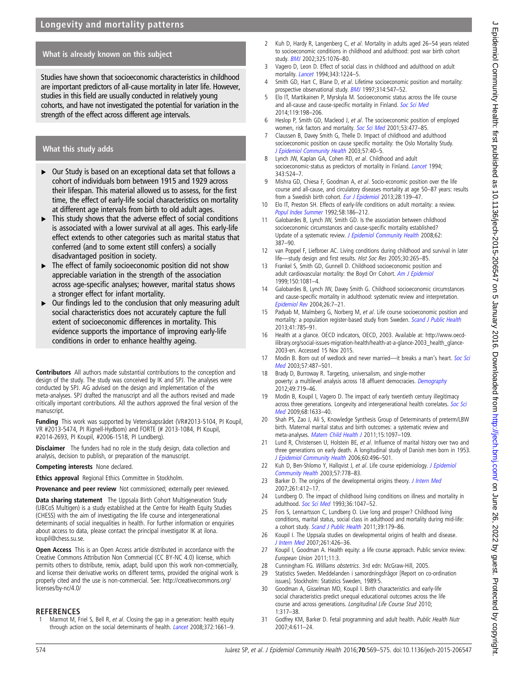$\subset$ 

# <span id="page-5-0"></span>What is already known on this subject

Studies have shown that socioeconomic characteristics in childhood are important predictors of all-cause mortality in later life. However, studies in this field are usually conducted in relatively young cohorts, and have not investigated the potential for variation in the strength of the effect across different age intervals.

# What this study adds

- ▸ Our Study is based on an exceptional data set that follows a cohort of individuals born between 1915 and 1929 across their lifespan. This material allowed us to assess, for the first time, the effect of early-life social characteristics on mortality at different age intervals from birth to old adult ages.
- $\blacktriangleright$  This study shows that the adverse effect of social conditions is associated with a lower survival at all ages. This early-life effect extends to other categories such as marital status that conferred (and to some extent still confers) a socially disadvantaged position in society.
- $\blacktriangleright$  The effect of family socioeconomic position did not show appreciable variation in the strength of the association across age-specific analyses; however, marital status shows a stronger effect for infant mortality.
- $\triangleright$  Our findings led to the conclusion that only measuring adult social characteristics does not accurately capture the full extent of socioeconomic differences in mortality. This evidence supports the importance of improving early-life conditions in order to enhance healthy ageing.

Contributors All authors made substantial contributions to the conception and design of the study. The study was conceived by IK and SPJ. The analyses were conducted by SPJ. AG advised on the design and implementation of the meta-analyses. SPJ drafted the manuscript and all the authors revised and made critically important contributions. All the authors approved the final version of the manuscript.

Funding This work was supported by Vetenskapsrådet (VR#2013-5104, PI Koupil, VR #2013-5474, PI Rignell-Hydbom) and FORTE (# 2013-1084, PI Koupil, #2014-2693, PI Koupil, #2006-1518, PI Lundberg).

**Disclaimer** The funders had no role in the study design, data collection and analysis, decision to publish, or preparation of the manuscript.

Competing interests None declared.

Ethics approval Regional Ethics Committee in Stockholm.

Provenance and peer review Not commissioned; externally peer reviewed.

Data sharing statement The Uppsala Birth Cohort Multigeneration Study (UBCoS Multigen) is a study established at the Centre for Health Equity Studies (CHESS) with the aim of investigating the life course and intergenerational determinants of social inequalities in health. For further information or enquiries about access to data, please contact the principal investigator IK at ilona. koupil@chess.su.se.

Open Access This is an Open Access article distributed in accordance with the Creative Commons Attribution Non Commercial (CC BY-NC 4.0) license, which permits others to distribute, remix, adapt, build upon this work non-commercially, and license their derivative works on different terms, provided the original work is properly cited and the use is non-commercial. See: [http://creativecommons.org/](http://creativecommons.org/licenses/by-nc/4.0/) [licenses/by-nc/4.0/](http://creativecommons.org/licenses/by-nc/4.0/)

#### **REFERENCES**

Marmot M, Friel S, Bell R, et al. Closing the gap in a generation: health equity through action on the social determinants of health. [Lancet](http://dx.doi.org/10.1016/S0140-6736(08)61690-6) 2008;372:1661-9.

- 2 Kuh D, Hardy R, Langenberg C, et al. Mortality in adults aged 26-54 years related to socioeconomic conditions in childhood and adulthood: post war birth cohort study. [BMJ](http://dx.doi.org/10.1136/bmj.325.7372.1076) 2002;325:1076–80.
- 3 Vagero D, Leon D. Effect of social class in childhood and adulthood on adult mortality. *[Lancet](http://dx.doi.org/10.1016/S0140-6736(94)92432-5)* 1994;343:1224-5.
- 4 Smith GD, Hart C, Blane D, et al. Lifetime socioeconomic position and mortality: prospective observational study. **[BMJ](http://dx.doi.org/10.1136/bmj.314.7080.547)** 1997;314:547-52.
- 5 Elo IT, Martikainen P, Myrskyla M. Socioeconomic status across the life course and all-cause and cause-specific mortality in Finland. [Soc Sci Med](http://dx.doi.org/10.1016/j.socscimed.2013.11.037) 2014;119:198–206.
- 6 Heslop P, Smith GD, Macleod J, et al. The socioeconomic position of employed women, risk factors and mortality. [Soc Sci Med](http://dx.doi.org/10.1016/S0277-9536(00)00350-6) 2001;53:477-85.
- 7 Claussen B, Davey Smith G, Thelle D. Impact of childhood and adulthood socioeconomic position on cause specific mortality: the Oslo Mortality Study. [J Epidemiol Community Health](http://dx.doi.org/10.1136/jech.57.1.40) 2003;57:40–5.
- 8 Lynch JW, Kaplan GA, Cohen RD, et al. Childhood and adult socioeconomic-status as predictors of mortality in Finland. *[Lancet](http://dx.doi.org/10.1016/S0140-6736(94)91468-0)* 1994; 343:524–7.
- 9 Mishra GD, Chiesa F, Goodman A, et al. Socio-economic position over the life course and all-cause, and circulatory diseases mortality at age 50–87 years: results from a Swedish birth cohort. [Eur J Epidemiol](http://dx.doi.org/10.1007/s10654-013-9777-z) 2013;28:139-47.
- 10 Elo IT, Preston SH. Effects of early-life conditions on adult mortality: a review. [Popul Index Summer](http://dx.doi.org/10.2307/3644718) 1992;58:186–212.
- 11 Galobardes B, Lynch JW, Smith GD. Is the association between childhood socioeconomic circumstances and cause-specific mortality established? Update of a systematic review. [J Epidemiol Community Health](http://dx.doi.org/10.1136/jech.2007.065508) 2008;62: 387–90.
- 12 van Poppel F, Liefbroer AC. Living conditions during childhood and survival in later life—study design and first results. Hist Soc Res 2005;30:265–85.
- 13 Frankel S, Smith GD, Gunnell D. Childhood socioeconomic position and adult cardiovascular mortality: the Boyd Orr Cohort. [Am J Epidemiol](http://dx.doi.org/10.1093/oxfordjournals.aje.a009932) 1999;150:1081–4.
- 14 Galobardes B, Lynch JW, Davey Smith G. Childhood socioeconomic circumstances and cause-specific mortality in adulthood: systematic review and interpretation. [Epidemiol Rev](http://dx.doi.org/10.1093/epirev/mxh008) 2004;26:7–21.
- 15 Padyab M, Malmberg G, Norberg M, et al. Life course socioeconomic position and mortality: a population register-based study from Sweden. [Scand J Public Health](http://dx.doi.org/10.1177/1403494813493366) 2013;41:785–91.
- 16 Health at a glance. OECD indicators, OECD, 2003. Available at: [http://www.oecd](http://www.oecd-ilibrary.org/social-issues-migration-health/health-at-a-glance-2003_health_glance-2003-en)[ilibrary.org/social-issues-migration-health/health-at-a-glance-2003\\_health\\_glance-](http://www.oecd-ilibrary.org/social-issues-migration-health/health-at-a-glance-2003_health_glance-2003-en)[2003-en.](http://www.oecd-ilibrary.org/social-issues-migration-health/health-at-a-glance-2003_health_glance-2003-en) Accessed 15 Nov 2015.
- 17 Modin B. Born out of wedlock and never married—it breaks a man's heart. [Soc Sci](http://dx.doi.org/10.1016/S0277-9536(02)00374-X) [Med](http://dx.doi.org/10.1016/S0277-9536(02)00374-X) 2003;57:487–501.
- 18 Brady D, Burroway R. Targeting, universalism, and single-mother poverty: a multilevel analysis across 18 affluent democracies. [Demography](http://dx.doi.org/10.1007/s13524-012-0094-z) 2012;49:719–46.
- 19 Modin B, Koupil I, Vagero D. The impact of early twentieth century illegitimacy across three generations. Longevity and intergenerational health correlates. [Soc Sci](http://dx.doi.org/10.1016/j.socscimed.2009.02.019) [Med](http://dx.doi.org/10.1016/j.socscimed.2009.02.019) 2009;68:1633–40.
- 20 Shah PS, Zao J, Ali S, Knowledge Synthesis Group of Determinants of preterm/LBW birth. Maternal marital status and birth outcomes: a systematic review and meta-analyses. [Matern Child Health J](http://dx.doi.org/10.1007/s10995-010-0654-z) 2011;15:1097-109.
- 21 Lund R, Christensen U, Holstein BE, et al. Influence of marital history over two and three generations on early death. A longitudinal study of Danish men born in 1953. [J Epidemiol Community Health](http://dx.doi.org/10.1136/jech.2005.037689) 2006;60:496–501.
- 22 Kuh D, Ben-Shlomo Y, Hallqvist J, et al. Life course epidemiology. [J Epidemiol](http://dx.doi.org/10.1136/jech.57.10.778) [Community Health](http://dx.doi.org/10.1136/jech.57.10.778) 2003;57:778–83.
- 23 Barker D. The origins of the developmental origins theory. [J Intern Med](http://dx.doi.org/10.1111/j.1365-2796.2007.01809.x) 2007;261:412–17.
- 24 Lundberg O. The impact of childhood living conditions on illness and mortality in adulthood. [Soc Sci Med](http://dx.doi.org/10.1016/0277-9536(93)90122-K) 1993;36:1047–52.
- 25 Fors S, Lennartsson C, Lundberg O. Live long and prosper? Childhood living conditions, marital status, social class in adulthood and mortality during mid-life: a cohort study. [Scand J Public Health](http://dx.doi.org/10.1177/1403494810395823) 2011;39:179-86.
- 26 Koupil I. The Uppsala studies on developmental origins of health and disease. [J Intern Med](http://dx.doi.org/10.1111/j.1365-2796.2007.01799.x) 2007;261:426–36.
- 27 Koupil I, Goodman A. Health equity: a life course approach. Public service review. European Union 2011;11:3.
- 28 Cunningham FG. Williams obstetrics. 3rd edn: McGraw-Hill, 2005.
- 29 Statistics Sweden. Meddelanden i samordningsfrågor [Report on co-ordination issues]. Stockholm: Statistics Sweden, 1989:5.
- 30 Goodman A, Gisselman MD, Koupil I. Birth characteristics and early-life social characteristics predict unequal educational outcomes across the life course and across generations. Longitudinal Life Course Stud 2010; 1:317–38.
- 31 Godfrey KM, Barker D. Fetal programming and adult health. Public Health Nutr 2007;4:611–24.